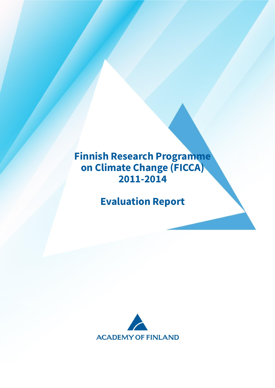# **Finnish Research Programme on Climate Change (FICCA) 2011-2014**

# **Evaluation Report**

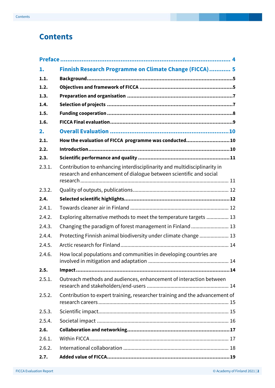## **Contents**

| 1.     | Finnish Research Programme on Climate Change (FICCA) 5                                                                                         |
|--------|------------------------------------------------------------------------------------------------------------------------------------------------|
| 1.1.   |                                                                                                                                                |
| 1.2.   |                                                                                                                                                |
| 1.3.   |                                                                                                                                                |
| 1.4.   |                                                                                                                                                |
| 1.5.   |                                                                                                                                                |
| 1.6.   |                                                                                                                                                |
| 2.     |                                                                                                                                                |
| 2.1.   | How the evaluation of FICCA programme was conducted10                                                                                          |
| 2.2.   |                                                                                                                                                |
| 2.3.   |                                                                                                                                                |
| 2.3.1. | Contribution to enhancing interdisciplinarity and multidisciplinarity in<br>research and enhancement of dialogue between scientific and social |
| 2.3.2. |                                                                                                                                                |
| 2.4.   |                                                                                                                                                |
| 2.4.1. |                                                                                                                                                |
| 2.4.2. | Exploring alternative methods to meet the temperature targets  13                                                                              |
| 2.4.3. | Changing the paradigm of forest management in Finland  13                                                                                      |
| 2.4.4. | Protecting Finnish animal biodiversity under climate change  13                                                                                |
| 2.4.5. |                                                                                                                                                |
| 2.4.6. | How local populations and communities in developing countries are                                                                              |
| 2.5.   |                                                                                                                                                |
| 2.5.1. | Outreach methods and audiences, enhancement of interaction between                                                                             |
| 2.5.2. | Contribution to expert training, researcher training and the advancement of                                                                    |
| 2.5.3. |                                                                                                                                                |
| 2.5.4. |                                                                                                                                                |
| 2.6.   |                                                                                                                                                |
| 2.6.1. |                                                                                                                                                |
| 2.6.2. |                                                                                                                                                |
| 2.7.   |                                                                                                                                                |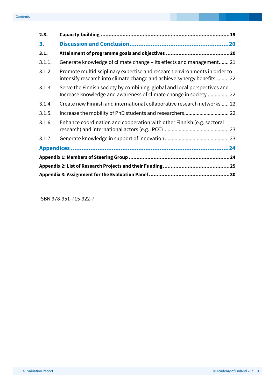| 2.8.   |                                                                                                                                                     |  |
|--------|-----------------------------------------------------------------------------------------------------------------------------------------------------|--|
| 3.     |                                                                                                                                                     |  |
| 3.1.   |                                                                                                                                                     |  |
| 3.1.1. | Generate knowledge of climate change – its effects and management 21                                                                                |  |
| 3.1.2. | Promote multidisciplinary expertise and research environments in order to<br>intensify research into climate change and achieve synergy benefits 22 |  |
| 3.1.3. | Serve the Finnish society by combining global and local perspectives and<br>Increase knowledge and awareness of climate change in society  22       |  |
| 3.1.4. | Create new Finnish and international collaborative research networks  22                                                                            |  |
| 3.1.5. | Increase the mobility of PhD students and researchers 22                                                                                            |  |
| 3.1.6. | Enhance coordination and cooperation with other Finnish (e.g. sectoral                                                                              |  |
| 3.1.7. |                                                                                                                                                     |  |
|        |                                                                                                                                                     |  |
|        |                                                                                                                                                     |  |
|        |                                                                                                                                                     |  |
|        |                                                                                                                                                     |  |

ISBN 978-951-715-922-7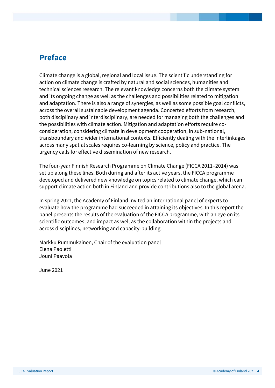## <span id="page-3-0"></span>**Preface**

Climate change is a global, regional and local issue. The scientific understanding for action on climate change is crafted by natural and social sciences, humanities and technical sciences research. The relevant knowledge concerns both the climate system and its ongoing change as well as the challenges and possibilities related to mitigation and adaptation. There is also a range of synergies, as well as some possible goal conflicts, across the overall sustainable development agenda. Concerted efforts from research, both disciplinary and interdisciplinary, are needed for managing both the challenges and the possibilities with climate action. Mitigation and adaptation efforts require coconsideration, considering climate in development cooperation, in sub-national, transboundary and wider international contexts. Efficiently dealing with the interlinkages across many spatial scales requires co-learning by science, policy and practice. The urgency calls for effective dissemination of new research.

The four-year Finnish Research Programme on Climate Change (FICCA 2011–2014) was set up along these lines. Both during and after its active years, the FICCA programme developed and delivered new knowledge on topics related to climate change, which can support climate action both in Finland and provide contributions also to the global arena.

In spring 2021, the Academy of Finland invited an international panel of experts to evaluate how the programme had succeeded in attaining its objectives. In this report the panel presents the results of the evaluation of the FICCA programme, with an eye on its scientific outcomes, and impact as well as the collaboration within the projects and across disciplines, networking and capacity-building.

Markku Rummukainen, Chair of the evaluation panel Elena Paoletti Jouni Paavola

June 2021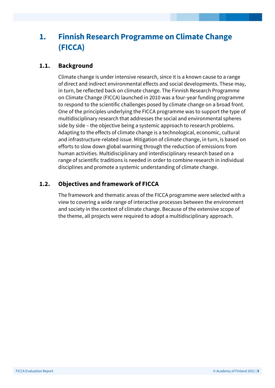## <span id="page-4-0"></span>**1. Finnish Research Programme on Climate Change (FICCA)**

## <span id="page-4-1"></span>**1.1. Background**

Climate change is under intensive research, since it is a known cause to a range of direct and indirect environmental effects and social developments. These may, in turn, be reflected back on climate change. The Finnish Research Programme on Climate Change (FICCA) launched in 2010 was a four-year funding programme to respond to the scientific challenges posed by climate change on a broad front. One of the principles underlying the FICCA programme was to support the type of multidisciplinary research that addresses the social and environmental spheres side by side – the objective being a systemic approach to research problems. Adapting to the effects of climate change is a technological, economic, cultural and infrastructure-related issue. Mitigation of climate change, in turn, is based on efforts to slow down global warming through the reduction of emissions from human activities. Multidisciplinary and interdisciplinary research based on a range of scientific traditions is needed in order to combine research in individual disciplines and promote a systemic understanding of climate change.

## <span id="page-4-2"></span>**1.2. Objectives and framework of FICCA**

The framework and thematic areas of the FICCA programme were selected with a view to covering a wide range of interactive processes between the environment and society in the context of climate change. Because of the extensive scope of the theme, all projects were required to adopt a multidisciplinary approach.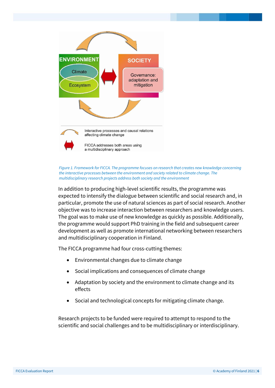



In addition to producing high-level scientific results, the programme was expected to intensify the dialogue between scientific and social research and, in particular, promote the use of natural sciences as part of social research. Another objective was to increase interaction between researchers and knowledge users. The goal was to make use of new knowledge as quickly as possible. Additionally, the programme would support PhD training in the field and subsequent career development as well as promote international networking between researchers and multidisciplinary cooperation in Finland.

The FICCA programme had four cross-cutting themes:

- Environmental changes due to climate change
- Social implications and consequences of climate change
- Adaptation by society and the environment to climate change and its effects
- Social and technological concepts for mitigating climate change.

Research projects to be funded were required to attempt to respond to the scientific and social challenges and to be multidisciplinary or interdisciplinary.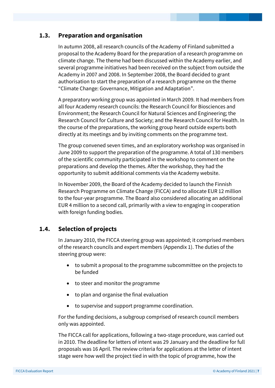### <span id="page-6-0"></span>**1.3. Preparation and organisation**

In autumn 2008, all research councils of the Academy of Finland submitted a proposal to the Academy Board for the preparation of a research programme on climate change. The theme had been discussed within the Academy earlier, and several programme initiatives had been received on the subject from outside the Academy in 2007 and 2008. In September 2008, the Board decided to grant authorisation to start the preparation of a research programme on the theme "Climate Change: Governance, Mitigation and Adaptation".

A preparatory working group was appointed in March 2009. It had members from all four Academy research councils: the Research Council for Biosciences and Environment; the Research Council for Natural Sciences and Engineering; the Research Council for Culture and Society; and the Research Council for Health. In the course of the preparations, the working group heard outside experts both directly at its meetings and by inviting comments on the programme text.

The group convened seven times, and an exploratory workshop was organised in June 2009 to support the preparation of the programme. A total of 130 members of the scientific community participated in the workshop to comment on the preparations and develop the themes. After the workshop, they had the opportunity to submit additional comments via the Academy website.

In November 2009, the Board of the Academy decided to launch the Finnish Research Programme on Climate Change (FICCA) and to allocate EUR 12 million to the four-year programme. The Board also considered allocating an additional EUR 4 million to a second call, primarily with a view to engaging in cooperation with foreign funding bodies.

## <span id="page-6-1"></span>**1.4. Selection of projects**

In January 2010, the FICCA steering group was appointed; it comprised members of the research councils and expert members (Appendix 1). The duties of the steering group were:

- to submit a proposal to the programme subcommittee on the projects to be funded
- to steer and monitor the programme
- to plan and organise the final evaluation
- to supervise and support programme coordination.

For the funding decisions, a subgroup comprised of research council members only was appointed.

The FICCA call for applications, following a two-stage procedure, was carried out in 2010. The deadline for letters of intent was 29 January and the deadline for full proposals was 16 April. The review criteria for applications at the letter of intent stage were how well the project tied in with the topic of programme, how the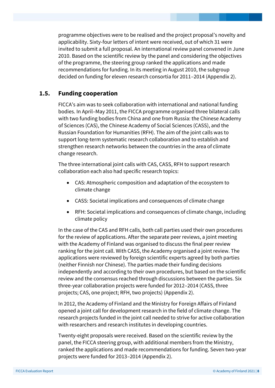programme objectives were to be realised and the project proposal's novelty and applicability. Sixty-four letters of intent were received, out of which 31 were invited to submit a full proposal. An international review panel convened in June 2010. Based on the scientific review by the panel and considering the objectives of the programme, the steering group ranked the applications and made recommendations for funding. In its meeting in August 2010, the subgroup decided on funding for eleven research consortia for 2011–2014 (Appendix 2).

### <span id="page-7-0"></span>**1.5. Funding cooperation**

FICCA's aim was to seek collaboration with international and national funding bodies. In April–May 2011, the FICCA programme organised three bilateral calls with two funding bodies from China and one from Russia: the Chinese Academy of Sciences (CAS), the Chinese Academy of Social Sciences (CASS), and the Russian Foundation for Humanities (RFH). The aim of the joint calls was to support long-term systematic research collaboration and to establish and strengthen research networks between the countries in the area of climate change research.

The three international joint calls with CAS, CASS, RFH to support research collaboration each also had specific research topics:

- CAS: Atmospheric composition and adaptation of the ecosystem to climate change
- CASS: Societal implications and consequences of climate change
- RFH: Societal implications and consequences of climate change, including climate policy

In the case of the CAS and RFH calls, both call parties used their own procedures for the review of applications. After the separate peer reviews, a joint meeting with the Academy of Finland was organised to discuss the final peer review ranking for the joint call. With CASS, the Academy organised a joint review. The applications were reviewed by foreign scientific experts agreed by both parties (neither Finnish nor Chinese). The parties made their funding decisions independently and according to their own procedures, but based on the scientific review and the consensus reached through discussions between the parties. Six three-year collaboration projects were funded for 2012–2014 (CASS, three projects; CAS, one project; RFH, two projects) (Appendix 2).

In 2012, the Academy of Finland and the Ministry for Foreign Affairs of Finland opened a joint call for development research in the field of climate change. The research projects funded in the joint call needed to strive for active collaboration with researchers and research institutes in developing countries.

Twenty-eight proposals were received. Based on the scientific review by the panel, the FICCA steering group, with additional members from the Ministry, ranked the applications and made recommendations for funding. Seven two-year projects were funded for 2013–2014 (Appendix 2).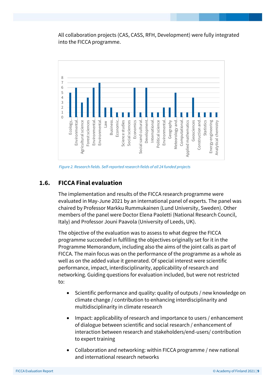All collaboration projects (CAS, CASS, RFH, Development) were fully integrated into the FICCA programme.



*Figure 2. Research fields. Self-reported research fields of all 24 funded projects*

## <span id="page-8-0"></span>**1.6. FICCA Final evaluation**

The implementation and results of the FICCA research programme were evaluated in May-June 2021 by an international panel of experts. The panel was chaired by Professor Markku Rummukainen (Lund University, Sweden). Other members of the panel were Doctor Elena Paoletti (National Research Council, Italy) and Professor Jouni Paavola (University of Leeds, UK).

The objective of the evaluation was to assess to what degree the FICCA programme succeeded in fulfilling the objectives originally set for it in the Programme Memorandum, including also the aims of the joint calls as part of FICCA. The main focus was on the performance of the programme as a whole as well as on the added value it generated. Of special interest were scientific performance, impact, interdisciplinarity, applicability of research and networking. Guiding questions for evaluation included, but were not restricted to:

- Scientific performance and quality: quality of outputs / new knowledge on climate change / contribution to enhancing interdisciplinarity and multidisciplinarity in climate research
- Impact: applicability of research and importance to users / enhancement of dialogue between scientific and social research / enhancement of interaction between research and stakeholders/end-users/ contribution to expert training
- Collaboration and networking: within FICCA programme / new national and international research networks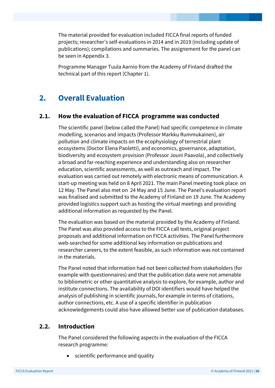The material provided for evaluation included FICCA final reports of funded projects; researcher's self-evaluations in 2014 and in 2019 (including update of publications); compilations and summaries. The assignement for the panel can be seen in Appendix 3.

Programme Manager Tuula Aarnio from the Academy of Finland drafted the technical part of this report (Chapter 1).

## <span id="page-9-0"></span>**2. Overall Evaluation**

## <span id="page-9-1"></span>**2.1. How the evaluation of FICCA programme was conducted**

The scientific panel (below called the Panel) had specific competence in climate modelling, scenarios and impacts (Professor Markku Rummukainen), air pollution and climate impacts on the ecophysiology of terrestrial plant ecosystems (Doctor Elena Paoletti), and economics, governance, adaptation, biodiversity and ecosystem provision (Professor Jouni Paavola), and collectively a broad and far-reaching experience and understanding also on researcher education, scientific assessments, as well as outreach and impact. The evaluation was carried out remotely with electronic means of communication. A start-up meeting was held on 8 April 2021. The main Panel meeting took place on 12 May. The Panel also met on 24 May and 15 June. The Panel's evaluation report was finalised and submitted to the Academy of Finland on 19 June. The Academy provided logistics support such as hosting the virtual meetings and providing additional information as requested by the Panel.

The evaluation was based on the material provided by the Academy of Finland. The Panel was also provided access to the FICCA call texts, original project proposals and additional information on FICCA activities. The Panel furthermore web-searched for some additional key information on publications and researcher careers, to the extent feasible, as such information was not contained in the materials.

The Panel noted that information had not been collected from stakeholders (for example with questionnaires) and that the publication data were not amenable to bibliometric or other quantitative analysis to explore, for example, author and institute connections. The availability of DOI identifiers would have helped the analysis of publishing in scientific journals, for example in terms of citations, author connections, etc. A use of a specific identifier in publication acknowledgements could also have allowed better use of publication databases.

#### <span id="page-9-2"></span>**2.2. Introduction**

The Panel considered the following aspects in the evaluation of the FICCA research programme:

• scientific performance and quality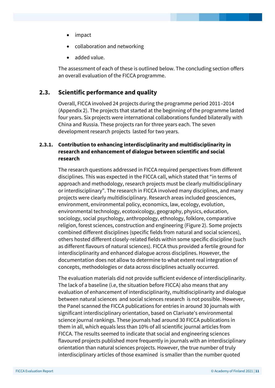- impact
- collaboration and networking
- added value.

The assessment of each of these is outlined below. The concluding section offers an overall evaluation of the FICCA programme.

#### <span id="page-10-0"></span>**2.3. Scientific performance and quality**

Overall, FICCA involved 24 projects during the programme period 2011–2014 (Appendix 2). The projects that started at the beginning of the programme lasted four years. Six projects were international collaborations funded bilaterally with China and Russia. These projects ran for three years each. The seven development research projects lasted for two years.

#### <span id="page-10-1"></span>**2.3.1. Contribution to enhancing interdisciplinarity and multidisciplinarity in research and enhancement of dialogue between scientific and social research**

The research questions addressed in FICCA required perspectives from different disciplines. This was expected in the FICCA call, which stated that "in terms of approach and methodology, research projects must be clearly multidisciplinary or interdisciplinary". The research in FICCA involved many disciplines, and many projects were clearly multidisciplinary. Research areas included geosciences, environment, environmental policy, economics, law, ecology, evolution, environmental technology, ecotoxicology, geography, physics, education, sociology, social psychology, anthropology, ethnology, folklore, comparative religion, forest sciences, construction and engineering (Figure 2). Some projects combined different disciplines (specific fields from natural and social sciences), others hosted different closely-related fields within some specific discipline (such as different flavours of natural sciences). FICCA thus provided a fertile ground for interdisciplinarity and enhanced dialogue across disciplines. However, the documentation does not allow to determine to what extent real integration of concepts, methodologies or data across disciplines actually occurred.

The evaluation materials did not provide sufficient evidence of interdisciplinarity. The lack of a baseline (i.e, the situation before FICCA) also means that any evaluation of enhancement of interdisciplinarity, multidisciplinarity and dialogue between natural sciences and social sciences research is not possible. However, the Panel scanned the FICCA publications for entries in around 30 journals with significant interdisciplinary orientation, based on Clarivate's environmental science journal rankings. These journals had around 30 FICCA publications in them in all, which equals less than 10% of all scientific journal articles from FICCA. The results seemed to indicate that social and engineering sciences flavoured projects published more frequently in journals with an interdisciplinary orientation than natural sciences projects. However, the true number of truly interdisciplinary articles of those examined is smaller than the number quoted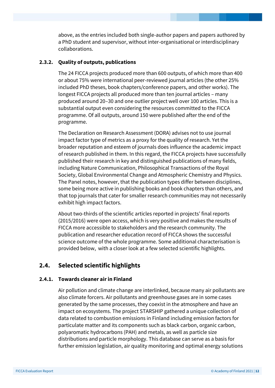above, as the entries included both single-author papers and papers authored by a PhD student and supervisor, without inter-organisational or interdisciplinary collaborations.

#### <span id="page-11-0"></span>**2.3.2. Quality of outputs, publications**

The 24 FICCA projects produced more than 600 outputs, of which more than 400 or about 75% were international peer-reviewed journal articles (the other 25% included PhD theses, book chapters/conference papers, and other works). The longest FICCA projects all produced more than ten journal articles – many produced around 20–30 and one outlier project well over 100 articles. This is a substantial output even considering the resources committed to the FICCA programme. Of all outputs, around 150 were published after the end of the programme.

The Declaration on Research Assessment (DORA) advises not to use journal impact factor type of metrics as a proxy for the quality of research. Yet the broader reputation and esteem of journals does influence the academic impact of research published in them. In this regard, the FICCA projects have successfully published their research in key and distinguished publications of many fields, including Nature Communication, Philosophical Transactions of the Royal Society, Global Environmental Change and Atmospheric Chemistry and Physics. The Panel notes, however, that the publication types differ between disciplines, some being more active in publishing books and book chapters than others, and that top journals that cater for smaller research communities may not necessarily exhibit high impact factors.

About two-thirds of the scientific articles reported in projects' final reports (2015/2016) were open access, which is very positive and makes the results of FICCA more accessible to stakeholders and the research community. The publication and researcher education record of FICCA shows the successful science outcome of the whole programme. Some additional characterisation is provided below, with a closer look at a few selected scientific highlights.

## <span id="page-11-1"></span>**2.4. Selected scientific highlights**

#### <span id="page-11-2"></span>**2.4.1. Towards cleaner air in Finland**

Air pollution and climate change are interlinked, because many air pollutants are also climate forcers. Air pollutants and greenhouse gases are in some cases generated by the same processes, they coexist in the atmosphere and have an impact on ecosystems. The project STARSHIP gathered a unique collection of data related to combustion emissions in Finland including emission factors for particulate matter and its components such as black carbon, organic carbon, polyaromatic hydrocarbons (PAH) and metals, as well as particle size distributions and particle morphology. This database can serve as a basis for further emission legislation, air quality monitoring and optimal energy solutions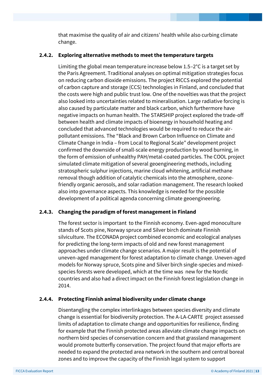that maximise the quality of air and citizens' health while also curbing climate change.

#### <span id="page-12-0"></span>**2.4.2. Exploring alternative methods to meet the temperature targets**

Limiting the global mean temperature increase below 1.5–2°C is a target set by the Paris Agreement. Traditional analyses on optimal mitigation strategies focus on reducing carbon dioxide emissions. The project RICCS explored the potential of carbon capture and storage (CCS) technologies in Finland, and concluded that the costs were high and public trust low. One of the novelties was that the project also looked into uncertainties related to mineralisation. Large radiative forcing is also caused by particulate matter and black carbon, which furthermore have negative impacts on human health. The STARSHIP project explored the trade-off between health and climate impacts of bioenergy in household heating and concluded that advanced technologies would be required to reduce the airpollutant emissions. The "Black and Brown Carbon Influence on Climate and Climate Change in India – from Local to Regional Scale" development project confirmed the downside of small-scale energy production by wood burning, in the form of emission of unhealthy PAH/metal-coated particles. The COOL project simulated climate mitigation of several geoengineering methods, including stratospheric sulphur injections, marine cloud whitening, artificial methane removal though addition of catalytic chemicals into the atmosphere, ozonefriendly organic aerosols, and solar radiation management. The research looked also into governance aspects. This knowledge is needed for the possible development of a political agenda concerning climate geoengineering.

#### <span id="page-12-1"></span>**2.4.3. Changing the paradigm of forest management in Finland**

The forest sector is important to the Finnish economy. Even-aged monoculture stands of Scots pine, Norway spruce and Silver birch dominate Finnish silviculture. The ECONADA project combined economic and ecological analyses for predicting the long-term impacts of old and new forest management approaches under climate change scenarios. A major result is the potential of uneven-aged management for forest adaptation to climate change. Uneven-aged models for Norway spruce, Scots pine and Silver birch single-species and mixedspecies forests were developed, which at the time was new for the Nordic countries and also had a direct impact on the Finnish forest legislation change in 2014.

#### <span id="page-12-2"></span>**2.4.4. Protecting Finnish animal biodiversity under climate change**

Disentangling the complex interlinkages between species diversity and climate change is essential for biodiversity protection. The A-LA-CARTE project assessed limits of adaptation to climate change and opportunities for resilience, finding for example that the Finnish protected areas alleviate climate change impacts on northern bird species of conservation concern and that grassland management would promote butterfly conservation. The project found that major efforts are needed to expand the protected area network in the southern and central boreal zones and to improve the capacity of the Finnish legal system to support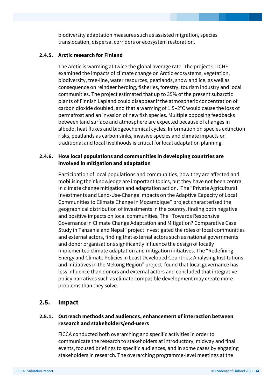biodiversity adaptation measures such as assisted migration, species translocation, dispersal corridors or ecosystem restoration.

#### <span id="page-13-0"></span>**2.4.5. Arctic research for Finland**

The Arctic is warming at twice the global average rate. The project CLICHE examined the impacts of climate change on Arctic ecosystems, vegetation, biodiversity, tree-line, water resources, peatlands, snow and ice, as well as consequence on reindeer herding, fisheries, forestry, tourism industry and local communities. The project estimated that up to 35% of the present subarctic plants of Finnish Lapland could disappear if the atmospheric concentration of carbon dioxide doubled, and that a warming of 1.5–2°C would cause the loss of permafrost and an invasion of new fish species. Multiple opposing feedbacks between land surface and atmosphere are expected because of changes in albedo, heat fluxes and biogeochemical cycles. Information on species extinction risks, peatlands as carbon sinks, invasive species and climate impacts on traditional and local livelihoods is critical for local adaptation planning.

#### <span id="page-13-1"></span>**2.4.6. How local populations and communities in developing countries are involved in mitigation and adaptation**

Participation of local populations and communities, how they are affected and mobilising their knowledge are important topics, but they have not been central in climate change mitigation and adaptation action. The "Private Agricultural Investments and Land-Use-Change Impacts on the Adaptive Capacity of Local Communities to Climate Change in Mozambique" project characterised the geographical distribution of investments in the country, finding both negative and positive impacts on local communities. The "Towards Responsive Governance in Climate Change Adaptation and Mitigation? Comparative Case Study in Tanzania and Nepal" project investigated the roles of local communities and external actors, finding that external actors such as national governments and donor organisations significantly influence the design of locally implemented climate adaptation and mitigation initiatives. The "Redefining Energy and Climate Policies in Least Developed Countries: Analysing Institutions and Initiatives in the Mekong Region" project found that local governance has less influence than donors and external actors and concluded that integrative policy narratives such as climate compatible development may create more problems than they solve.

## <span id="page-13-2"></span>**2.5. Impact**

#### <span id="page-13-3"></span>**2.5.1. Outreach methods and audiences, enhancement of interaction between research and stakeholders/end-users**

FICCA conducted both overarching and specific activities in order to communicate the research to stakeholders at introductory, midway and final events, focused briefings to specific audiences, and in some cases by engaging stakeholders in research. The overarching programme-level meetings at the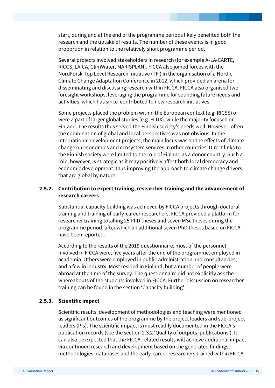start, during and at the end of the programme periods likely benefited both the research and the uptake of results. The number of these events is in good proportion in relation to the relatively short programme period.

Several projects involved stakeholders in research (for example A-LA-CARTE, RICCS, LAICA, ClimWater, MARISPLAN). FICCA also joined forces with the NordForsk Top Level Research initiative (TFI) in the organisation of a Nordic Climate Change Adaptation Conference in 2012, which provided an arena for disseminating and discussing research within FICCA. FICCA also organised two foresight workshops, leveraging the programme for sounding future needs and activities, which has since contributed to new research initiatives.

Some projects placed the problem within the European context (e.g. RICSS) or were a part of larger global studies (e.g. FLUX), while the majority focused on Finland. The results thus served the Finnish society's needs well. However, often the combination of global and local perspectives was not obvious. In the international development projects, the main focus was on the effects of climate change on economies and ecosystem services in other countries. Direct links to the Finnish society were limited to the role of Finland as a donor country. Such a role, however, is strategic as it may positively affect both local democracy and economic development, thus improving the approach to climate change drivers that are global by nature.

#### <span id="page-14-0"></span>**2.5.2. Contribution to expert training, researcher training and the advancement of research careers**

Substantial capacity building was achieved by FICCA projects through doctoral training and training of early-career researchers. FICCA provided a platform for researcher training totalling 25 PhD theses and seven MSc theses during the programme period, after which an additional seven PhD theses based on FICCA have been reported.

According to the results of the 2019 questionnaire, most of the personnel involved in FICCA were, five years after the end of the programme, employed in academia. Others were employed in public administration and consultancies, and a few in industry. Most resided in Finland, but a number of people were abroad at the time of the survey. The questionnaire did not explicitly ask the whereabouts of the students involved in FICCA. Further discussion on researcher training can be found in the section 'Capacity building'.

#### <span id="page-14-1"></span>**2.5.3. Scientific impact**

Scientific results, development of methodologies and teaching were mentioned as significant outcomes of the programme by the project leaders and sub-project leaders (PIs). The scientific impact is most readily documented in the FICCA's publication records (see the section 2.3.2 'Quality of outputs, publications'). It can also be expected that the FICCA-related results will achieve additional impact via continued research and development based on the generated findings, methodologies, databases and the early-career researchers trained within FICCA.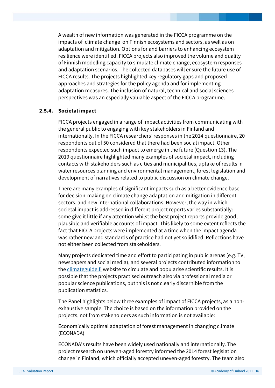A wealth of new information was generated in the FICCA programme on the impacts of climate change on Finnish ecosystems and sectors, as well as on adaptation and mitigation. Options for and barriers to enhancing ecosystem resilience were identified. FICCA projects also improved the volume and quality of Finnish modelling capacity to simulate climate change, ecosystem responses and adaptation scenarios. The collected databases will ensure the future use of FICCA results. The projects highlighted key regulatory gaps and proposed approaches and strategies for the policy agenda and for implementing adaptation measures. The inclusion of natural, technical and social sciences perspectives was an especially valuable aspect of the FICCA programme.

#### <span id="page-15-0"></span>**2.5.4. Societal impact**

FICCA projects engaged in a range of impact activities from communicating with the general public to engaging with key stakeholders in Finland and internationally. In the FICCA researchers' responses in the 2014 questionnaire, 20 respondents out of 50 considered that there had been social impact. Other respondents expected such impact to emerge in the future (Question 13). The 2019 questionnaire highlighted many examples of societal impact, including contacts with stakeholders such as cities and municipalities, uptake of results in water resources planning and environmental management, forest legislation and development of narratives related to public discussion on climate change.

There are many examples of significant impacts such as a better evidence base for decision-making on climate change adaptation and mitigation in different sectors, and new international collaborations. However, the way in which societal impact is addressed in different project reports varies substantially: some give it little if any attention whilst the best project reports provide good, plausible and verifiable accounts of impact. This likely to some extent reflects the fact that FICCA projects were implemented at a time when the impact agenda was rather new and standards of practice had not yet solidified. Reflections have not either been collected from stakeholders.

Many projects dedicated time and effort to participating in public arenas (e.g. TV, newspapers and social media), and several projects contributed information to the [climateguide.fi](https://ilmasto-opas.fi/en/) website to circulate and popularise scientific results. It is possible that the projects practised outreach also via professional media or popular science publications, but this is not clearly discernible from the publication statistics.

The Panel highlights below three examples of impact of FICCA projects, as a nonexhaustive sample. The choice is based on the information provided on the projects, not from stakeholders as such information is not available:

Economically optimal adaptation of forest management in changing climate (ECONADA)

ECONADA's results have been widely used nationally and internationally. The project research on uneven-aged forestry informed the 2014 forest legislation change in Finland, which officially accepted uneven-aged forestry. The team also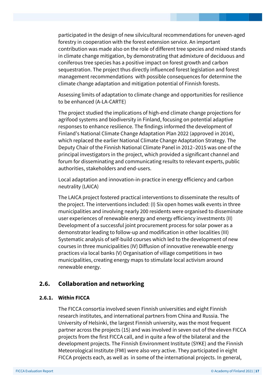participated in the design of new silvicultural recommendations for uneven-aged forestry in cooperation with the forest extension service. An important contribution was made also on the role of different tree species and mixed stands in climate change mitigation, by demonstrating that admixture of deciduous and coniferous tree species has a positive impact on forest growth and carbon sequestration. The project thus directly influenced forest legislation and forest management recommendations with possible consequences for determine the climate change adaptation and mitigation potential of Finnish forests.

Assessing limits of adaptation to climate change and opportunities for resilience to be enhanced (A-LA-CARTE)

The project studied the implications of high-end climate change projections for agrifood systems and biodiversity in Finland, focusing on potential adaptive responses to enhance resilience. The findings informed the development of Finland's National Climate Change Adaptation Plan 2022 (approved in 2014), which replaced the earlier National Climate Change Adaptation Strategy. The Deputy Chair of the Finnish National Climate Panel in 2012–2015 was one of the principal investigators in the project, which provided a significant channel and forum for disseminating and communicating results to relevant experts, public authorities, stakeholders and end-users.

Local adaptation and innovation-in-practice in energy efficiency and carbon neutrality (LAICA)

The LAICA project fostered practical interventions to disseminate the results of the project. The interventions included: (I) Six open homes walk events in three municipalities and involving nearly 200 residents were organised to disseminate user experiences of renewable energy and energy efficiency investments (II) Development of a successful joint procurement process for solar power as a demonstrator leading to follow-up and modification in other localities (III) Systematic analysis of self-build courses which led to the development of new courses in three municipalities (IV) Diffusion of innovative renewable energy practices via local banks (V) Organisation of village competitions in two municipalities, creating energy maps to stimulate local activism around renewable energy.

## <span id="page-16-0"></span>**2.6. Collaboration and networking**

#### <span id="page-16-1"></span>**2.6.1. Within FICCA**

The FICCA consortia involved seven Finnish universities and eight Finnish research institutes, and international partners from China and Russia. The University of Helsinki, the largest Finnish university, was the most frequent partner across the projects (15) and was involved in seven out of the eleven FICCA projects from the first FICCA call, and in quite a few of the bilateral and the development projects. The Finnish Environment Institute (SYKE) and the Finnish Meteorological Institute (FMI) were also very active. They participated in eight FICCA projects each, as well as in some of the international projects. In general,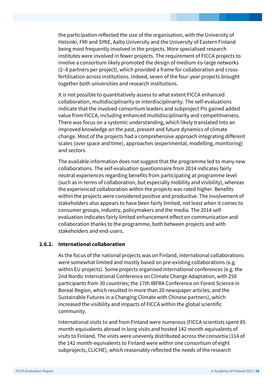the participation reflected the size of the organisation, with the University of Helsinki, FMI and SYKE, Aalto University and the University of Eastern Finland being most frequently involved in the projects. More specialised research institutes were involved in fewer projects. The requirement of FICCA projects to involve a consortium likely promoted the design of medium-to-large networks (2–8 partners per project), which provided a frame for collaboration and crossfertilisation across institutions. Indeed, seven of the four-year projects brought together both universities and research institutions.

It is not possible to quantitatively assess to what extent FICCA enhanced collaboration, multidisciplinarity or interdisciplinarity. The self-evaluations indicate that the involved consortium leaders and subproject PIs gained added value from FICCA, including enhanced multidisciplinarity and competitiveness. There was focus on a systemic understanding, which likely translated into an improved knowledge on the past, present and future dynamics of climate change. Most of the projects had a comprehensive approach integrating different scales (over space and time), approaches (experimental, modelling, monitoring) and sectors.

The available information does not suggest that the programme led to many new collaborations. The self-evaluation questionnaire from 2014 indicates fairly neutral experiences regarding benefits from participating at programme level (such as in terms of collaboration, but especially mobility and visibility), whereas the experienced collaboration within the projects was rated higher. Benefits within the projects were considered positive and productive. The involvement of stakeholders also appears to have been fairly limited, not least when it comes to consumer groups, industry, policymakers and the media. The 2014 selfevaluation indicates fairly limited enhancement effect on communication and collaboration thanks to the programme, both between projects and with stakeholders and end-users.

#### <span id="page-17-0"></span>**2.6.2. International collaboration**

As the focus of the national projects was on Finland, international collaborations were somewhat limited and mostly based on pre-existing collaborations (e.g. within EU projects). Some projects organised international conferences (e.g. the 2nd Nordic International Conference on Climate Change Adaptation, with 250 participants from 30 countries; the 17th IBFRA Conference on Forest Science in Boreal Region, which resulted in more than 20 newspaper articles; and the Sustainable Futures in a Changing Climate with Chinese partners), which increased the visibility and impacts of FICCA within the global scientific community.

International visits to and from Finland were numerous (FICCA scientists spent 85 month-equivalents abroad in long visits and hosted 142 month-equivalents of visits to Finland. The visits were unevenly distributed across the consortia (114 of the 142 month-equivalents to Finland were within one consortium of eight subprojects, CLICHE), which reasonably reflected the needs of the research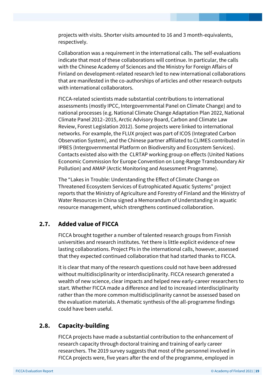projects with visits. Shorter visits amounted to 16 and 3 month-equivalents, respectively.

Collaboration was a requirement in the international calls. The self-evaluations indicate that most of these collaborations will continue. In particular, the calls with the Chinese Academy of Sciences and the Ministry for Foreign Affairs of Finland on development-related research led to new international collaborations that are manifested in the co-authorships of articles and other research outputs with international collaborators.

FICCA-related scientists made substantial contributions to international assessments (mostly IPCC, Intergovernmental Panel on Climate Change) and to national processes (e.g. National Climate Change Adaptation Plan 2022, National Climate Panel 2012–2015, Arctic Advisory Board, Carbon and Climate Law Review, Forest Legislation 2012). Some projects were linked to international networks. For example, the FLUX project was part of ICOS (Integrated Carbon Observation System), and the Chinese partner affiliated to CLIMES contributed in IPBES (Intergovernmental Platform on Biodiversity and Ecosystem Services). Contacts existed also with the CLRTAP working group on effects (United Nations Economic Commission for Europe Convention on Long-Range Transboundary Air Pollution) and AMAP (Arctic Monitoring and Assessment Programme).

The "Lakes in Trouble: Understanding the Effect of Climate Change on Threatened Ecosystem Services of Eutrophicated Aquatic Systems" project reports that the Ministry of Agriculture and Forestry of Finland and the Ministry of Water Resources in China signed a Memorandum of Understanding in aquatic resource management, which strengthens continued collaboration.

## <span id="page-18-0"></span>**2.7. Added value of FICCA**

FICCA brought together a number of talented research groups from Finnish universities and research institutes. Yet there is little explicit evidence of new lasting collaborations. Project PIs in the international calls, however, assessed that they expected continued collaboration that had started thanks to FICCA.

It is clear that many of the research questions could not have been addressed without multidisciplinarity or interdisciplinarity. FICCA research generated a wealth of new science, clear impacts and helped new early-career researchers to start. Whether FICCA made a difference and led to increased interdisciplinarity rather than the more common multidisciplinarity cannot be assessed based on the evaluation materials. A thematic synthesis of the all-programme findings could have been useful.

## <span id="page-18-1"></span>**2.8. Capacity-building**

FICCA projects have made a substantial contribution to the enhancement of research capacity through doctoral training and training of early career researchers. The 2019 survey suggests that most of the personnel involved in FICCA projects were, five years after the end of the programme, employed in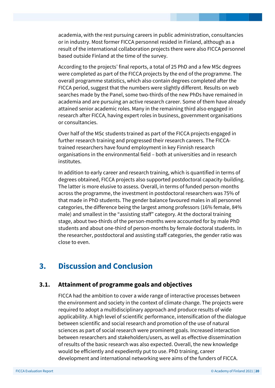academia, with the rest pursuing careers in public administration, consultancies or in industry. Most former FICCA personnel resided in Finland, although as a result of the international collaboration projects there were also FICCA personnel based outside Finland at the time of the survey.

According to the projects' final reports, a total of 25 PhD and a few MSc degrees were completed as part of the FICCA projects by the end of the programme. The overall programme statistics, which also contain degrees completed after the FICCA period, suggest that the numbers were slightly different. Results on web searches made by the Panel, some two-thirds of the new PhDs have remained in academia and are pursuing an active research career. Some of them have already attained senior academic roles. Many in the remaining third also engaged in research after FICCA, having expert roles in business, government organisations or consultancies.

Over half of the MSc students trained as part of the FICCA projects engaged in further research training and progressed their research careers. The FICCAtrained researchers have found employment in key Finnish research organisations in the environmental field – both at universities and in research institutes.

In addition to early career and research training, which is quantified in terms of degrees obtained, FICCA projects also supported postdoctoral capacity-building. The latter is more elusive to assess. Overall, in terms of funded person-months across the programme, the investment in postdoctoral researchers was 75% of that made in PhD students. The gender balance favoured males in all personnel categories, the difference being the largest among professors (16% female, 84% male) and smallest in the "assisting staff" category. At the doctoral training stage, about two-thirds of the person-months were accounted for by male PhD students and about one-third of person-months by female doctoral students. In the researcher, postdoctoral and assisting staff categories, the gender ratio was close to even.

## <span id="page-19-0"></span>**3. Discussion and Conclusion**

## <span id="page-19-1"></span>**3.1. Attainment of programme goals and objectives**

FICCA had the ambition to cover a wide range of interactive processes between the environment and society in the context of climate change. The projects were required to adopt a multidisciplinary approach and produce results of wide applicability. A high level of scientific performance, intensification of the dialogue between scientific and social research and promotion of the use of natural sciences as part of social research were prominent goals. Increased interaction between researchers and stakeholders/users, as well as effective dissemination of results of the basic research was also expected. Overall, the new knowledge would be efficiently and expediently put to use. PhD training, career development and international networking were aims of the funders of FICCA.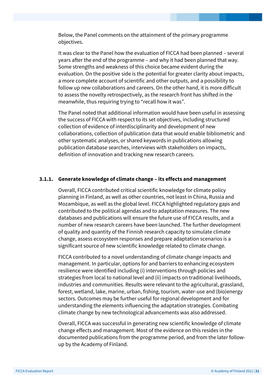Below, the Panel comments on the attainment of the primary programme objectives.

It was clear to the Panel how the evaluation of FICCA had been planned – several years after the end of the programme – and why it had been planned that way. Some strengths and weakness of this choice became evident during the evaluation. On the positive side is the potential for greater clarity about impacts, a more complete account of scientific and other outputs, and a possibility to follow up new collaborations and careers. On the other hand, it is more difficult to assess the novelty retrospectively, as the research front has shifted in the meanwhile, thus requiring trying to "recall how it was".

The Panel noted that additional information would have been useful in assessing the success of FICCA with respect to its set objectives, including structured collection of evidence of interdisciplinarity and development of new collaborations, collection of publication data that would enable bibliometric and other systematic analyses, or shared keywords in publications allowing publication database searches, interviews with stakeholders on impacts, definition of innovation and tracking new research careers.

#### <span id="page-20-0"></span>**3.1.1. Generate knowledge of climate change – its effects and management**

Overall, FICCA contributed critical scientific knowledge for climate policy planning in Finland, as well as other countries, not least in China, Russia and Mozambique, as well as the global level. FICCA highlighted regulatory gaps and contributed to the political agendas and to adaptation measures. The new databases and publications will ensure the future use of FICCA results, and a number of new research careers have been launched. The further development of quality and quantity of the Finnish research capacity to simulate climate change, assess ecosystem responses and prepare adaptation scenarios is a significant source of new scientific knowledge related to climate change.

FICCA contributed to a novel understanding of climate change impacts and management. In particular, options for and barriers to enhancing ecosystem resilience were identified including (i) interventions through policies and strategies from local to national level and (ii) impacts on traditional livelihoods, industries and communities. Results were relevant to the agricultural, grassland, forest, wetland, lake, marine, urban, fishing, tourism, water-use and (bio)energy sectors. Outcomes may be further useful for regional development and for understanding the elements influencing the adaptation strategies. Combating climate change by new technological advancements was also addressed.

Overall, FICCA was successful in generating new scientific knowledge of climate change effects and management. Most of the evidence on this resides in the documented publications from the programme period, and from the later followup by the Academy of Finland.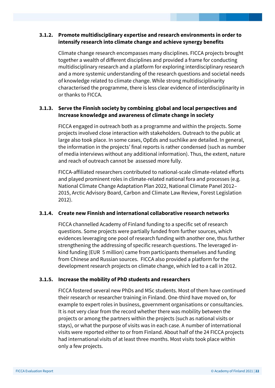#### <span id="page-21-0"></span>**3.1.2. Promote multidisciplinary expertise and research environments in order to intensify research into climate change and achieve synergy benefits**

Climate change research encompasses many disciplines. FICCA projects brought together a wealth of different disciplines and provided a frame for conducting multidisciplinary research and a platform for exploring interdisciplinary research and a more systemic understanding of the research questions and societal needs of knowledge related to climate change. While strong multidisciplinarity characterised the programme, there is less clear evidence of interdisciplinarity in or thanks to FICCA.

#### <span id="page-21-1"></span>**3.1.3. Serve the Finnish society by combining global and local perspectives and Increase knowledge and awareness of climate change in society**

FICCA engaged in outreach both as a programme and within the projects. Some projects involved close interaction with stakeholders. Outreach to the public at large also took place. In some cases, OpEds and suchlike are detailed. In general, the information in the projects' final reports is rather condensed (such as number of media interviews without any additional information). Thus, the extent, nature and reach of outreach cannot be assessed more fully.

FICCA-affiliated researchers contributed to national-scale climate-related efforts and played prominent roles in climate-related national fora and processes (e.g. National Climate Change Adaptation Plan 2022, National Climate Panel 2012– 2015, Arctic Advisory Board, Carbon and Climate Law Review, Forest Legislation 2012).

#### <span id="page-21-2"></span>**3.1.4. Create new Finnish and international collaborative research networks**

FICCA channelled Academy of Finland funding to a specific set of research questions. Some projects were partially funded from further sources, which evidences leveraging one pool of research funding with another one, thus further strengthening the addressing of specific research questions. The leveraged inkind funding (EUR 5 million) came from participants themselves and funding from Chinese and Russian sources. FICCA also provided a platform for the development research projects on climate change, which led to a call in 2012.

#### <span id="page-21-3"></span>**3.1.5. Increase the mobility of PhD students and researchers**

FICCA fostered several new PhDs and MSc students. Most of them have continued their research or researcher training in Finland. One-third have moved on, for example to expert roles in business, government organisations or consultancies. It is not very clear from the record whether there was mobility between the projects or among the partners within the projects (such as national visits or stays), or what the purpose of visits was in each case. A number of international visits were reported either to or from Finland. About half of the 24 FICCA projects had international visits of at least three months. Most visits took place within only a few projects.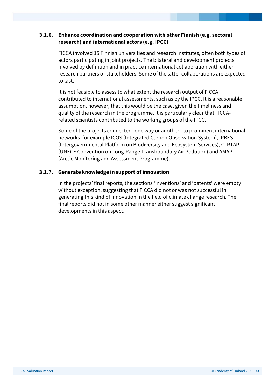#### <span id="page-22-0"></span>**3.1.6. Enhance coordination and cooperation with other Finnish (e.g. sectoral research) and international actors (e.g. IPCC)**

FICCA involved 15 Finnish universities and research institutes, often both types of actors participating in joint projects. The bilateral and development projects involved by definition and in practice international collaboration with either research partners or stakeholders. Some of the latter collaborations are expected to last.

It is not feasible to assess to what extent the research output of FICCA contributed to international assessments, such as by the IPCC. It is a reasonable assumption, however, that this would be the case, given the timeliness and quality of the research in the programme. It is particularly clear that FICCArelated scientists contributed to the working groups of the IPCC.

Some of the projects connected -one way or another - to prominent international networks, for example ICOS (Integrated Carbon Observation System), IPBES (Intergovernmental Platform on Biodiversity and Ecosystem Services), CLRTAP (UNECE Convention on Long-Range Transboundary Air Pollution) and AMAP (Arctic Monitoring and Assessment Programme).

#### <span id="page-22-1"></span>**3.1.7. Generate knowledge in support of innovation**

In the projects' final reports, the sections 'inventions' and 'patents' were empty without exception, suggesting that FICCA did not or was not successful in generating this kind of innovation in the field of climate change research. The final reports did not in some other manner either suggest significant developments in this aspect.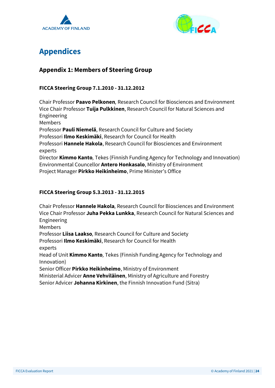



## <span id="page-23-0"></span>**Appendices**

## <span id="page-23-1"></span>**Appendix 1: Members of Steering Group**

#### **FICCA Steering Group 7.1.2010 - 31.12.2012**

Chair Professor **Paavo Pelkonen***,* Research Council for Biosciences and Environment Vice Chair Professor **Tuija Pulkkinen**, Research Council for Natural Sciences and Engineering Members Professor **Pauli Niemelä**, Research Council for Culture and Society Professori **Ilmo Keskimäki**, Research for Council for Health Professori **Hannele Hakola**, Research Council for Biosciences and Environment experts Director **Kimmo Kanto***,* Tekes (Finnish Funding Agency for Technology and Innovation) Environmental Councellor **Antero Honkasalo**, Ministry of Environment Project Manager **Pirkko Heikinheimo**, Prime Minister's Office

#### **FICCA Steering Group 5.3.2013 - 31.12.2015**

Chair Professor **Hannele Hakola***,* Research Council for Biosciences and Environment Vice Chair Professor **Juha Pekka Lunkka**, Research Council for Natural Sciences and Engineering

Members

Professor **Liisa Laakso***,* Research Council for Culture and Society

Professori **Ilmo Keskimäki**, Research for Council for Health

experts

Head of Unit **Kimmo Kanto***,* Tekes (Finnish Funding Agency for Technology and Innovation)

Senior Officer **Pirkko Heikinheimo**, Ministry of Environment

Ministerial Advicer **Anne Vehviläinen**, Ministry of Agriculture and Forestry Senior Advicer **Johanna Kirkinen**, the Finnish Innovation Fund (Sitra)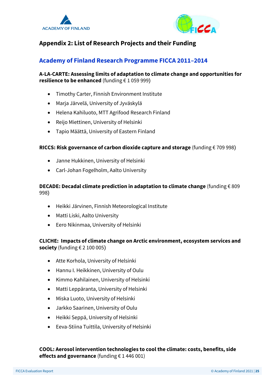



## <span id="page-24-0"></span>**Appendix 2: List of Research Projects and their Funding**

## **Academy of Finland Research Programme FICCA 2011–2014**

#### **A-LA-CARTE: Assessing limits of adaptation to climate change and opportunities for resilience to be enhanced** (funding € 1 059 999)

- Timothy Carter, Finnish Environment Institute
- Marja Järvelä, University of Jyväskylä
- Helena Kahiluoto, MTT Agrifood Research Finland
- Reijo Miettinen, University of Helsinki
- Tapio Määttä, University of Eastern Finland

#### **RICCS: Risk governance of carbon dioxide capture and storage** (funding € 709 998)

- Janne Hukkinen, University of Helsinki
- Carl-Johan Fogelholm, Aalto University

#### **DECADE: Decadal climate prediction in adaptation to climate change** (funding € 809 998)

- Heikki Järvinen, Finnish Meteorological Institute
- Matti Liski, Aalto University
- Eero Nikinmaa, University of Helsinki

#### **CLICHE: Impacts of climate change on Arctic environment, ecosystem services and society** (funding € 2 100 005)

- Atte Korhola, University of Helsinki
- Hannu I. Heikkinen, University of Oulu
- Kimmo Kahilainen, University of Helsinki
- Matti Leppäranta, University of Helsinki
- Miska Luoto, University of Helsinki
- Jarkko Saarinen, University of Oulu
- Heikki Seppä, University of Helsinki
- Eeva-Stiina Tuittila, University of Helsinki

#### **COOL: Aerosol intervention technologies to cool the climate: costs, benefits, side effects and governance** (funding € 1 446 001)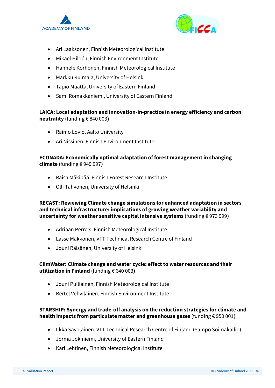



- Ari Laaksonen, Finnish Meteorological Institute
- Mikael Hildén, Finnish Environment Institute
- Hannele Korhonen, Finnish Meteorological Institute
- Markku Kulmala, University of Helsinki
- Tapio Määttä, University of Eastern Finland
- Sami Romakkaniemi, University of Eastern Finland

#### **LAICA: Local adaptation and innovation-in-practice in energy efficiency and carbon neutrality** (funding € 840 003)

- Raimo Lovio, Aalto University
- Ari Nissinen, Finnish Environment Institute

#### **ECONADA: Economically optimal adaptation of forest management in changing climate** (funding € 949 997)

- Raisa Mäkipää, Finnish Forest Research Institute
- Olli Tahvonen, University of Helsinki

#### **RECAST: Reviewing Climate change simulations for enhanced adaptation in sectors and technical infrastructure: implications of growing weather variability and uncertainty for weather sensitive capital intensive systems** (funding € 973 999)

- Adriaan Perrels, Finnish Meteorological Institute
- Lasse Makkonen, VTT Technical Research Centre of Finland
- Jouni Räisänen, University of Helsinki

#### **ClimWater: Climate change and water cycle: effect to water resources and their utilization in Finland** (funding € 640 003)

- Jouni Pulliainen, Finnish Meteorological Institute
- Bertel Vehviläinen, Finnish Environment Institute

#### **STARSHIP: Synergy and trade-off analysis on the reduction strategies for climate and health impacts from particulate matter and greenhouse gases** (funding € 950 001)

- Ilkka Savolainen, VTT Technical Research Centre of Finland (Sampo Soimakallio)
- Jorma Jokiniemi, University of Eastern Finland
- Kari Lehtinen, Finnish Meteorological Institute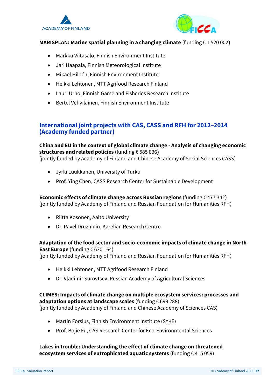



#### **MARISPLAN: Marine spatial planning in a changing climate** (funding € 1 520 002)

- Markku Viitasalo, Finnish Environment Institute
- Jari Haapala, Finnish Meteorological Institute
- Mikael Hildén, Finnish Environment Institute
- Heikki Lehtonen, MTT Agrifood Research Finland
- Lauri Urho, Finnish Game and Fisheries Research Institute
- Bertel Vehviläinen, Finnish Environment Institute

### **International joint projects with CAS, CASS and RFH for 2012–2014 (Academy funded partner)**

## **China and EU in the context of global climate change - Analysis of changing economic structures and related policies** (funding € 585 836)

(jointly funded by Academy of Finland and Chinese Academy of Social Sciences CASS)

- Jyrki Luukkanen, University of Turku
- Prof. Ying Chen, CASS Research Center for Sustainable Development

#### **Economic effects of climate change across Russian regions** (funding € 477 342)

(jointly funded by Academy of Finland and Russian Foundation for Humanities RFH)

- Riitta Kosonen, Aalto University
- Dr. Pavel Druzhinin, Karelian Research Centre

#### **Adaptation of the food sector and socio-economic impacts of climate change in North-East Europe** (funding € 630 164)

(jointly funded by Academy of Finland and Russian Foundation for Humanities RFH)

- Heikki Lehtonen, MTT Agrifood Research Finland
- Dr. Vladimir Surovtsev, Russian Academy of Agricultural Sciences

### **CLIMES: Impacts of climate change on multiple ecosystem services: processes and adaptation options at landscape scales** (funding € 699 288)

(jointly funded by Academy of Finland and Chinese Academy of Sciences CAS)

- Martin Forsius, Finnish Environment Institute (SYKE)
- Prof. Bojie Fu, CAS Research Center for Eco-Environmental Sciences

#### **Lakes in trouble: Understanding the effect of climate change on threatened ecosystem services of eutrophicated aquatic systems** (funding € 415 059)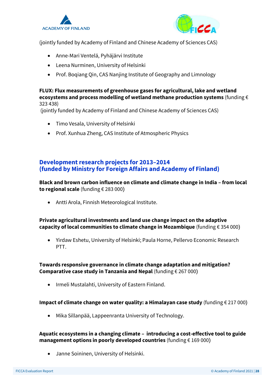



(jointly funded by Academy of Finland and Chinese Academy of Sciences CAS)

- Anne-Mari Ventelä, Pyhäjärvi Institute
- Leena Nurminen, University of Helsinki
- Prof. Boqiang Qin, CAS Nanjing Institute of Geography and Limnology

#### **FLUX: Flux measurements of greenhouse gases for agricultural, lake and wetland ecosystems and process modelling of wetland methane production systems** (funding € 323 438)

(jointly funded by Academy of Finland and Chinese Academy of Sciences CAS)

- Timo Vesala, University of Helsinki
- Prof. Xunhua Zheng, CAS Institute of Atmospheric Physics

#### **Development research projects for 2013–2014 (funded by Ministry for Foreign Affairs and Academy of Finland)**

**Black and brown carbon influence on climate and climate change in India – from local to regional scale** (funding € 283 000)

• Antti Arola, Finnish Meteorological Institute.

#### **Private agricultural investments and land use change impact on the adaptive capacity of local communities to climate change in Mozambique** (funding € 354 000)

• Yirdaw Eshetu, University of Helsinki; Paula Horne, Pellervo Economic Research PTT.

**Towards responsive governance in climate change adaptation and mitigation? Comparative case study in Tanzania and Nepal** (funding € 267 000)

• Irmeli Mustalahti, University of Eastern Finland.

#### **Impact of climate change on water quality: a Himalayan case study** (funding € 217 000)

• Mika Sillanpää, Lappeenranta University of Technology.

#### **Aquatic ecosystems in a changing climate – introducing a cost-effective tool to guide management options in poorly developed countries** (funding € 169 000)

• Janne Soininen, University of Helsinki.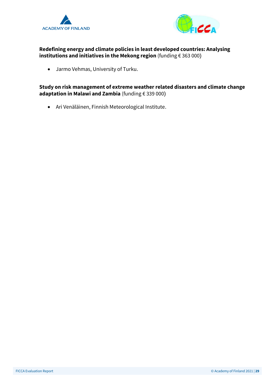



#### **Redefining energy and climate policies in least developed countries: Analysing institutions and initiatives in the Mekong region** (funding € 363 000)

• Jarmo Vehmas, University of Turku.

**Study on risk management of extreme weather related disasters and climate change adaptation in Malawi and Zambia** (funding € 339 000)

• Ari Venäläinen, Finnish Meteorological Institute.